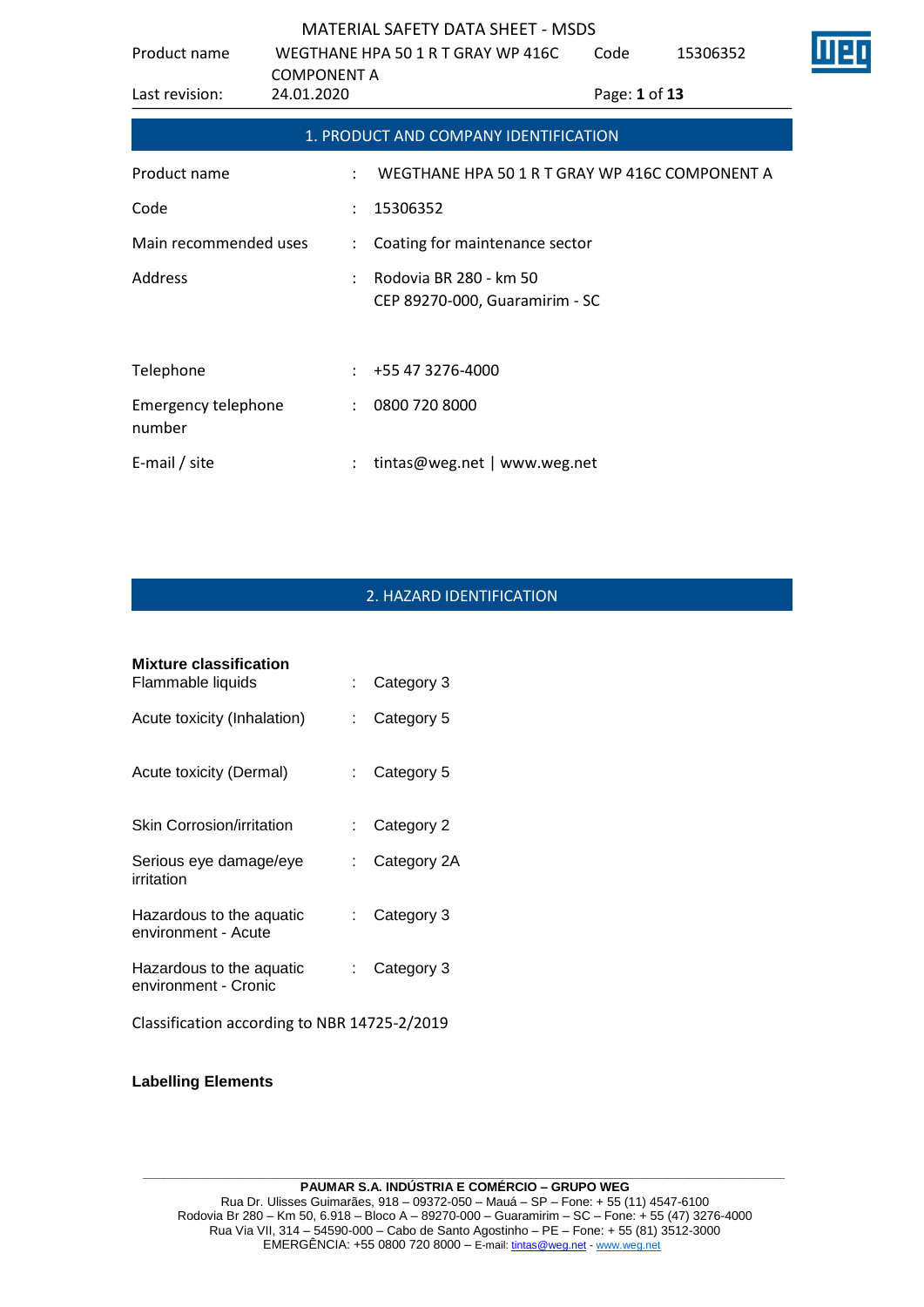| Product name                         | WEGTHANE HPA 50 1 R T GRAY WP 416C<br><b>COMPONENT A</b> |                                                          | Code          | 15306352 |  |
|--------------------------------------|----------------------------------------------------------|----------------------------------------------------------|---------------|----------|--|
| Last revision:                       | 24.01.2020                                               |                                                          | Page: 1 of 13 |          |  |
|                                      |                                                          | 1. PRODUCT AND COMPANY IDENTIFICATION                    |               |          |  |
| Product name                         |                                                          | WEGTHANE HPA 50 1 R T GRAY WP 416C COMPONENT A           |               |          |  |
| Code                                 | $\ddot{\phantom{a}}$                                     | 15306352                                                 |               |          |  |
| Main recommended uses                | ÷                                                        | Coating for maintenance sector                           |               |          |  |
| Address                              |                                                          | Rodovia BR 280 - km 50<br>CEP 89270-000, Guaramirim - SC |               |          |  |
| Telephone                            |                                                          | +55 47 3276-4000                                         |               |          |  |
| <b>Emergency telephone</b><br>number | $\ddot{\phantom{a}}$                                     | 0800 720 8000                                            |               |          |  |
| E-mail / site                        |                                                          | tintas@weg.net   www.weg.net                             |               |          |  |

# 2. HAZARD IDENTIFICATION

| Mixture classification                           |                           |             |
|--------------------------------------------------|---------------------------|-------------|
| Flammable liquids                                | t.                        | Category 3  |
| Acute toxicity (Inhalation)                      | t.                        | Category 5  |
| Acute toxicity (Dermal)                          | t.                        | Category 5  |
| Skin Corrosion/irritation                        | t.                        | Category 2  |
| Serious eye damage/eye<br>irritation             | t.                        | Category 2A |
| Hazardous to the aquatic<br>environment - Acute  | $\mathbb{R}^{\mathbb{Z}}$ | Category 3  |
| Hazardous to the aquatic<br>environment - Cronic | t.                        | Category 3  |
| Classification according to NBR 14725-2/2019     |                           |             |

**Labelling Elements**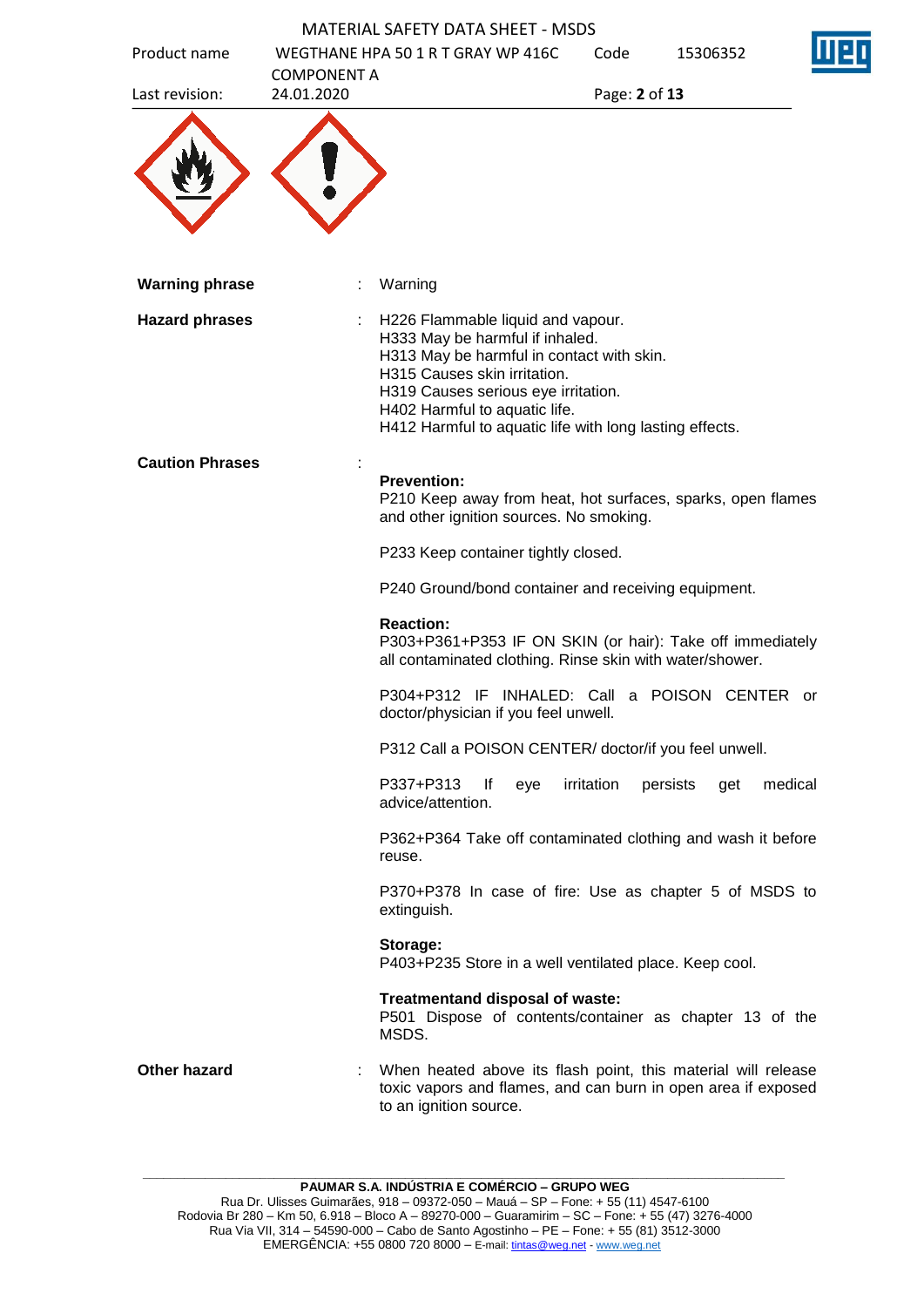|                        |                    | <b>MATERIAL SAFETY DATA SHEET - MSDS</b>                                                                                                                                                                                                                                             |               |                 |         |
|------------------------|--------------------|--------------------------------------------------------------------------------------------------------------------------------------------------------------------------------------------------------------------------------------------------------------------------------------|---------------|-----------------|---------|
| Product name           | <b>COMPONENT A</b> | WEGTHANE HPA 50 1 R T GRAY WP 416C                                                                                                                                                                                                                                                   | Code          | 15306352        |         |
| Last revision:         | 24.01.2020         |                                                                                                                                                                                                                                                                                      | Page: 2 of 13 |                 |         |
|                        |                    |                                                                                                                                                                                                                                                                                      |               |                 |         |
| <b>Warning phrase</b>  |                    | Warning                                                                                                                                                                                                                                                                              |               |                 |         |
| <b>Hazard phrases</b>  |                    | H226 Flammable liquid and vapour.<br>H333 May be harmful if inhaled.<br>H313 May be harmful in contact with skin.<br>H315 Causes skin irritation.<br>H319 Causes serious eye irritation.<br>H402 Harmful to aquatic life.<br>H412 Harmful to aquatic life with long lasting effects. |               |                 |         |
| <b>Caution Phrases</b> |                    |                                                                                                                                                                                                                                                                                      |               |                 |         |
|                        |                    | <b>Prevention:</b><br>P210 Keep away from heat, hot surfaces, sparks, open flames<br>and other ignition sources. No smoking.                                                                                                                                                         |               |                 |         |
|                        |                    | P233 Keep container tightly closed.                                                                                                                                                                                                                                                  |               |                 |         |
|                        |                    | P240 Ground/bond container and receiving equipment.                                                                                                                                                                                                                                  |               |                 |         |
|                        |                    | <b>Reaction:</b><br>P303+P361+P353 IF ON SKIN (or hair): Take off immediately<br>all contaminated clothing. Rinse skin with water/shower.                                                                                                                                            |               |                 |         |
|                        |                    | P304+P312 IF INHALED: Call a POISON CENTER or<br>doctor/physician if you feel unwell.                                                                                                                                                                                                |               |                 |         |
|                        |                    | P312 Call a POISON CENTER/ doctor/if you feel unwell.                                                                                                                                                                                                                                |               |                 |         |
|                        |                    | P337+P313<br>lf<br>eye<br>advice/attention.                                                                                                                                                                                                                                          | irritation    | persists<br>get | medical |
|                        |                    | P362+P364 Take off contaminated clothing and wash it before<br>reuse.                                                                                                                                                                                                                |               |                 |         |
|                        |                    | P370+P378 In case of fire: Use as chapter 5 of MSDS to<br>extinguish.                                                                                                                                                                                                                |               |                 |         |
|                        |                    | Storage:<br>P403+P235 Store in a well ventilated place. Keep cool.                                                                                                                                                                                                                   |               |                 |         |
|                        |                    | Treatmentand disposal of waste:<br>P501 Dispose of contents/container as chapter 13 of the<br>MSDS.                                                                                                                                                                                  |               |                 |         |
| Other hazard           |                    | When heated above its flash point, this material will release<br>toxic vapors and flames, and can burn in open area if exposed<br>to an ignition source.                                                                                                                             |               |                 |         |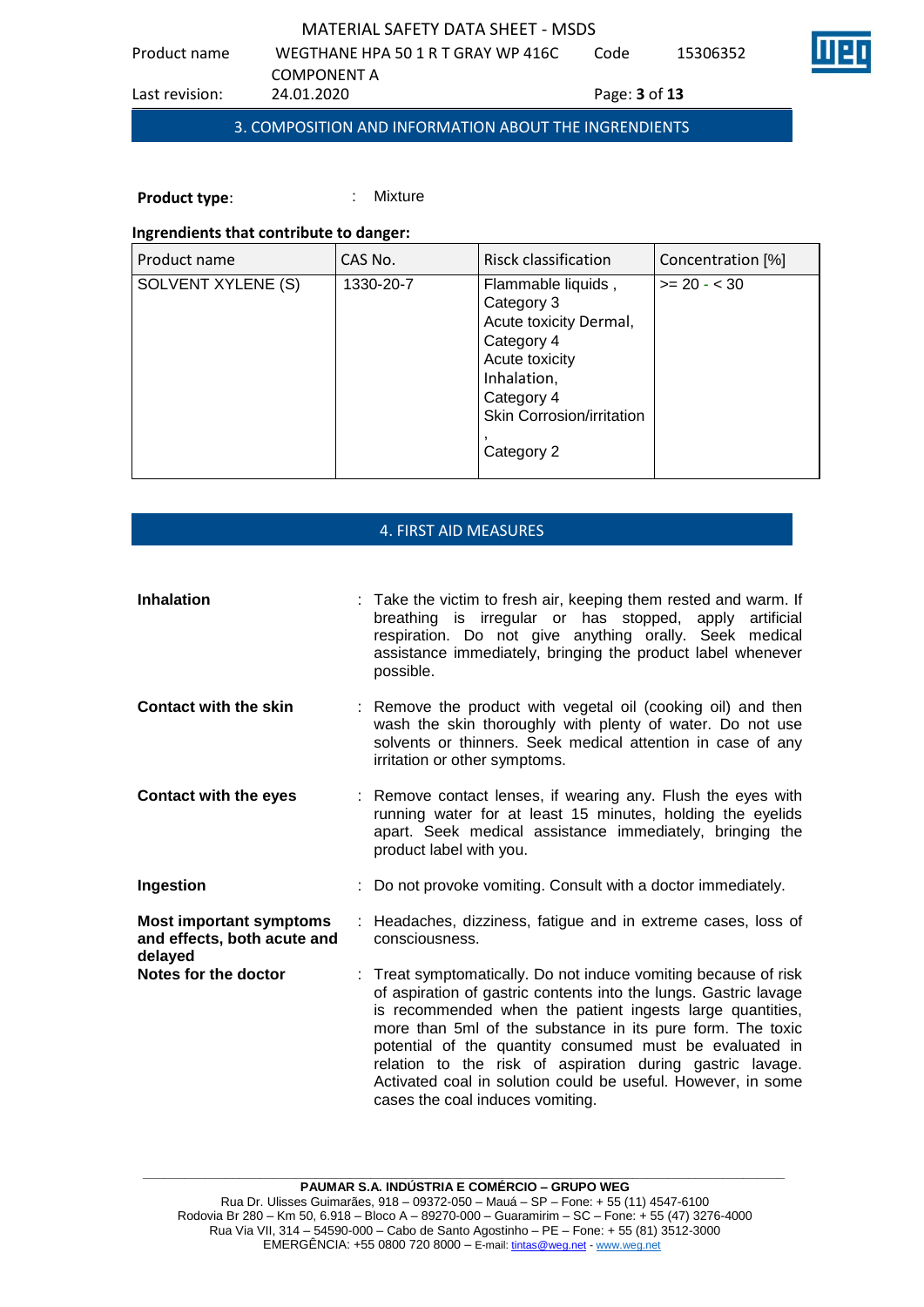Product name WEGTHANE HPA 50 1 R T GRAY WP 416C COMPONENT A<br>24.01.2020 Code 15306352 Last revision: 24.01.2020 Page: **3** of **13**

3. COMPOSITION AND INFORMATION ABOUT THE INGRENDIENTS

**Product type:** : : : : : Mixture

## **Ingrendients that contribute to danger:**

| Product name       | CAS No.   | Risck classification                                                                                                                                               | Concentration [%] |
|--------------------|-----------|--------------------------------------------------------------------------------------------------------------------------------------------------------------------|-------------------|
| SOLVENT XYLENE (S) | 1330-20-7 | Flammable liquids,<br>Category 3<br>Acute toxicity Dermal,<br>Category 4<br>Acute toxicity<br>Inhalation,<br>Category 4<br>Skin Corrosion/irritation<br>Category 2 | $>= 20 - 30$      |

### 4. FIRST AID MEASURES

| <b>Inhalation</b>                                                        | : Take the victim to fresh air, keeping them rested and warm. If<br>breathing is irregular or has stopped, apply<br>artificial<br>respiration. Do not give anything orally. Seek medical<br>assistance immediately, bringing the product label whenever<br>possible.                                                                                                                                                                                                                       |
|--------------------------------------------------------------------------|--------------------------------------------------------------------------------------------------------------------------------------------------------------------------------------------------------------------------------------------------------------------------------------------------------------------------------------------------------------------------------------------------------------------------------------------------------------------------------------------|
| <b>Contact with the skin</b>                                             | : Remove the product with vegetal oil (cooking oil) and then<br>wash the skin thoroughly with plenty of water. Do not use<br>solvents or thinners. Seek medical attention in case of any<br>irritation or other symptoms.                                                                                                                                                                                                                                                                  |
| <b>Contact with the eyes</b>                                             | : Remove contact lenses, if wearing any. Flush the eyes with<br>running water for at least 15 minutes, holding the eyelids<br>apart. Seek medical assistance immediately, bringing the<br>product label with you.                                                                                                                                                                                                                                                                          |
| Ingestion                                                                | : Do not provoke vomiting. Consult with a doctor immediately.                                                                                                                                                                                                                                                                                                                                                                                                                              |
| <b>Most important symptoms</b><br>and effects, both acute and<br>delayed | : Headaches, dizziness, fatigue and in extreme cases, loss of<br>consciousness.                                                                                                                                                                                                                                                                                                                                                                                                            |
| Notes for the doctor                                                     | : Treat symptomatically. Do not induce vomiting because of risk<br>of aspiration of gastric contents into the lungs. Gastric lavage<br>is recommended when the patient ingests large quantities,<br>more than 5ml of the substance in its pure form. The toxic<br>potential of the quantity consumed must be evaluated in<br>relation to the risk of aspiration during gastric lavage.<br>Activated coal in solution could be useful. However, in some<br>cases the coal induces vomiting. |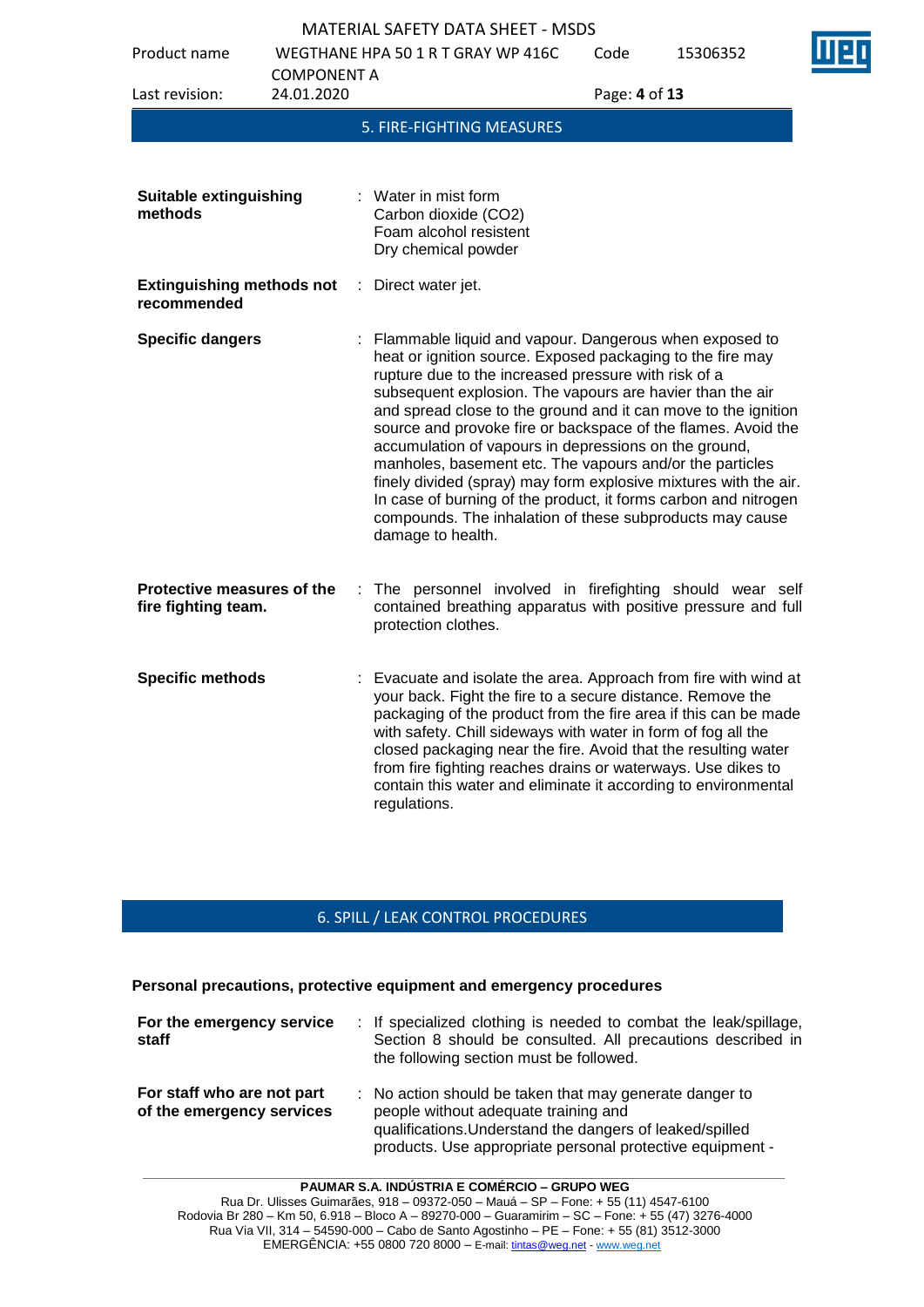| Product name                                      |                                  | WEGTHANE HPA 50 1 R T GRAY WP 416C                                                                                                                                                                                                                                                                                                                                                                                                                                                                                                                                                                                                                                                                                        | Code          | 15306352 |
|---------------------------------------------------|----------------------------------|---------------------------------------------------------------------------------------------------------------------------------------------------------------------------------------------------------------------------------------------------------------------------------------------------------------------------------------------------------------------------------------------------------------------------------------------------------------------------------------------------------------------------------------------------------------------------------------------------------------------------------------------------------------------------------------------------------------------------|---------------|----------|
| Last revision:                                    | <b>COMPONENT A</b><br>24.01.2020 |                                                                                                                                                                                                                                                                                                                                                                                                                                                                                                                                                                                                                                                                                                                           | Page: 4 of 13 |          |
|                                                   |                                  | 5. FIRE-FIGHTING MEASURES                                                                                                                                                                                                                                                                                                                                                                                                                                                                                                                                                                                                                                                                                                 |               |          |
|                                                   |                                  |                                                                                                                                                                                                                                                                                                                                                                                                                                                                                                                                                                                                                                                                                                                           |               |          |
| <b>Suitable extinguishing</b><br>methods          |                                  | : Water in mist form<br>Carbon dioxide (CO2)<br>Foam alcohol resistent<br>Dry chemical powder                                                                                                                                                                                                                                                                                                                                                                                                                                                                                                                                                                                                                             |               |          |
| <b>Extinguishing methods not</b><br>recommended   | ÷                                | Direct water jet.                                                                                                                                                                                                                                                                                                                                                                                                                                                                                                                                                                                                                                                                                                         |               |          |
| <b>Specific dangers</b>                           |                                  | Flammable liquid and vapour. Dangerous when exposed to<br>heat or ignition source. Exposed packaging to the fire may<br>rupture due to the increased pressure with risk of a<br>subsequent explosion. The vapours are havier than the air<br>and spread close to the ground and it can move to the ignition<br>source and provoke fire or backspace of the flames. Avoid the<br>accumulation of vapours in depressions on the ground,<br>manholes, basement etc. The vapours and/or the particles<br>finely divided (spray) may form explosive mixtures with the air.<br>In case of burning of the product, it forms carbon and nitrogen<br>compounds. The inhalation of these subproducts may cause<br>damage to health. |               |          |
| Protective measures of the<br>fire fighting team. |                                  | The personnel involved in firefighting should wear self<br>contained breathing apparatus with positive pressure and full<br>protection clothes.                                                                                                                                                                                                                                                                                                                                                                                                                                                                                                                                                                           |               |          |
| <b>Specific methods</b>                           |                                  | : Evacuate and isolate the area. Approach from fire with wind at<br>your back. Fight the fire to a secure distance. Remove the<br>packaging of the product from the fire area if this can be made<br>with safety. Chill sideways with water in form of fog all the<br>closed packaging near the fire. Avoid that the resulting water<br>from fire fighting reaches drains or waterways. Use dikes to<br>contain this water and eliminate it according to environmental<br>regulations.                                                                                                                                                                                                                                    |               |          |

# 6. SPILL / LEAK CONTROL PROCEDURES

#### **Personal precautions, protective equipment and emergency procedures**

| For the emergency service<br>staff                      | : If specialized clothing is needed to combat the leak/spillage,<br>Section 8 should be consulted. All precautions described in<br>the following section must be followed.                                               |
|---------------------------------------------------------|--------------------------------------------------------------------------------------------------------------------------------------------------------------------------------------------------------------------------|
| For staff who are not part<br>of the emergency services | : No action should be taken that may generate danger to<br>people without adequate training and<br>qualifications. Understand the dangers of leaked/spilled<br>products. Use appropriate personal protective equipment - |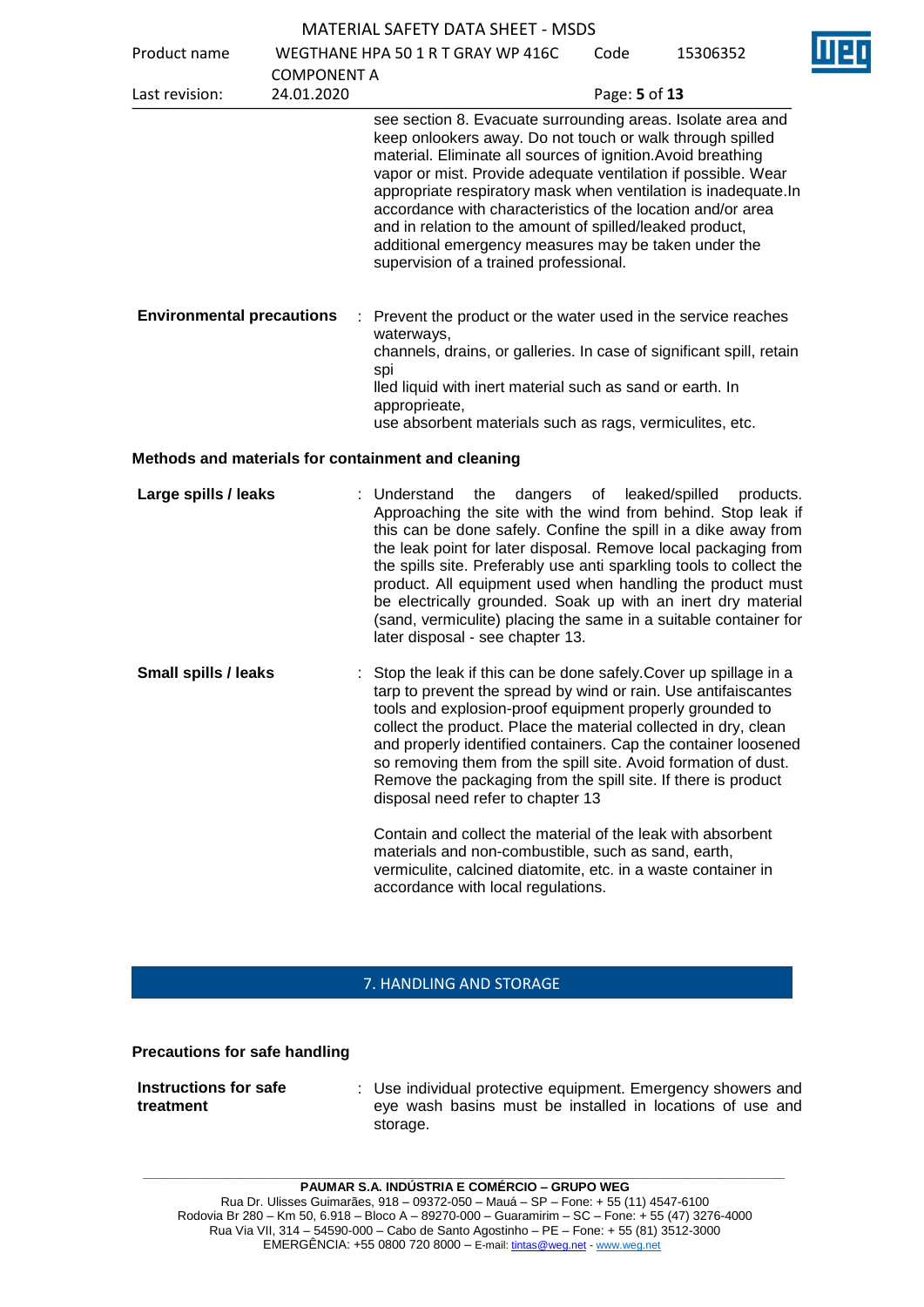| <b>MATERIAL SAFETY DATA SHEET - MSDS</b> |  |
|------------------------------------------|--|
|------------------------------------------|--|

Product name WEGTHANE HPA 50 1 R T GRAY WP 416C

 $C^{\text{old}}$  15306353



| Proguet Hanne                    |                    | WEGILIANE ITPA 30 I R I GRAT WP 410C                                                                                                                                                                                                                                                                                                                                                                                                                                                                                                                      | coue          | zcconcct |
|----------------------------------|--------------------|-----------------------------------------------------------------------------------------------------------------------------------------------------------------------------------------------------------------------------------------------------------------------------------------------------------------------------------------------------------------------------------------------------------------------------------------------------------------------------------------------------------------------------------------------------------|---------------|----------|
|                                  | <b>COMPONENT A</b> |                                                                                                                                                                                                                                                                                                                                                                                                                                                                                                                                                           |               |          |
| Last revision:                   | 24.01.2020         |                                                                                                                                                                                                                                                                                                                                                                                                                                                                                                                                                           | Page: 5 of 13 |          |
|                                  |                    | see section 8. Evacuate surrounding areas. Isolate area and<br>keep onlookers away. Do not touch or walk through spilled<br>material. Eliminate all sources of ignition. Avoid breathing<br>vapor or mist. Provide adequate ventilation if possible. Wear<br>appropriate respiratory mask when ventilation is inadequate. In<br>accordance with characteristics of the location and/or area<br>and in relation to the amount of spilled/leaked product,<br>additional emergency measures may be taken under the<br>supervision of a trained professional. |               |          |
| <b>Environmental precautions</b> |                    | : Prevent the product or the water used in the service reaches<br>waterways,<br>channels, drains, or galleries. In case of significant spill, retain<br>spi<br>lled liquid with inert material such as sand or earth. In<br>approprieate,<br>use absorbent materials such as rags, vermiculites, etc.                                                                                                                                                                                                                                                     |               |          |
|                                  |                    | Methods and materials for containment and cleaning                                                                                                                                                                                                                                                                                                                                                                                                                                                                                                        |               |          |

**Large spills / leaks** : Understand the dangers of leaked/spilled products. Approaching the site with the wind from behind. Stop leak if this can be done safely. Confine the spill in a dike away from the leak point for later disposal. Remove local packaging from the spills site. Preferably use anti sparkling tools to collect the product. All equipment used when handling the product must be electrically grounded. Soak up with an inert dry material (sand, vermiculite) placing the same in a suitable container for later disposal - see chapter 13.

**Small spills / leaks** : Stop the leak if this can be done safely. Cover up spillage in a tarp to prevent the spread by wind or rain. Use antifaiscantes tools and explosion-proof equipment properly grounded to collect the product. Place the material collected in dry, clean and properly identified containers. Cap the container loosened so removing them from the spill site. Avoid formation of dust. Remove the packaging from the spill site. If there is product disposal need refer to chapter 13

> Contain and collect the material of the leak with absorbent materials and non-combustible, such as sand, earth, vermiculite, calcined diatomite, etc. in a waste container in accordance with local regulations.

# 7. HANDLING AND STORAGE

### **Precautions for safe handling**

| Instructions for safe | : Use individual protective equipment. Emergency showers and |
|-----------------------|--------------------------------------------------------------|
| treatment             | eye wash basins must be installed in locations of use and    |
|                       | storage.                                                     |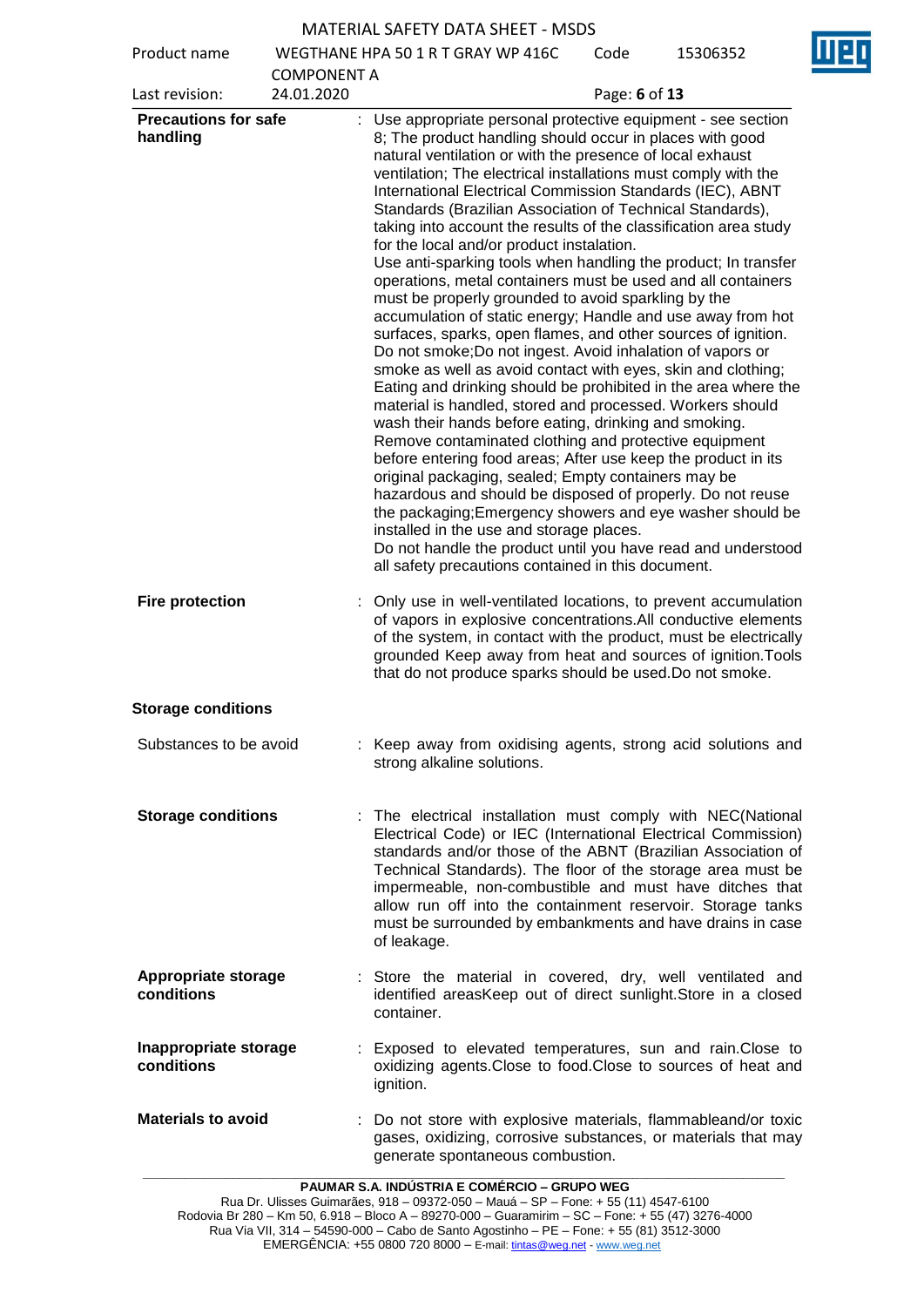| Product name                                              |                    | WEGTHANE HPA 50 1 R T GRAY WP 416C                                                                                                                                                                                                                                                                                                                                                                                                                                                                                                                                                                                                                                                                                                                                                                                                                                                                                                                                                                                                                                                                               | Code          | 15306352 |
|-----------------------------------------------------------|--------------------|------------------------------------------------------------------------------------------------------------------------------------------------------------------------------------------------------------------------------------------------------------------------------------------------------------------------------------------------------------------------------------------------------------------------------------------------------------------------------------------------------------------------------------------------------------------------------------------------------------------------------------------------------------------------------------------------------------------------------------------------------------------------------------------------------------------------------------------------------------------------------------------------------------------------------------------------------------------------------------------------------------------------------------------------------------------------------------------------------------------|---------------|----------|
|                                                           | <b>COMPONENT A</b> |                                                                                                                                                                                                                                                                                                                                                                                                                                                                                                                                                                                                                                                                                                                                                                                                                                                                                                                                                                                                                                                                                                                  |               |          |
| Last revision:<br><b>Precautions for safe</b><br>handling | 24.01.2020         | : Use appropriate personal protective equipment - see section<br>8; The product handling should occur in places with good<br>natural ventilation or with the presence of local exhaust<br>ventilation; The electrical installations must comply with the<br>International Electrical Commission Standards (IEC), ABNT<br>Standards (Brazilian Association of Technical Standards),<br>taking into account the results of the classification area study                                                                                                                                                                                                                                                                                                                                                                                                                                                                                                                                                                                                                                                           | Page: 6 of 13 |          |
|                                                           |                    | for the local and/or product instalation.<br>Use anti-sparking tools when handling the product; In transfer<br>operations, metal containers must be used and all containers<br>must be properly grounded to avoid sparkling by the<br>accumulation of static energy; Handle and use away from hot<br>surfaces, sparks, open flames, and other sources of ignition.<br>Do not smoke; Do not ingest. Avoid inhalation of vapors or<br>smoke as well as avoid contact with eyes, skin and clothing;<br>Eating and drinking should be prohibited in the area where the<br>material is handled, stored and processed. Workers should<br>wash their hands before eating, drinking and smoking.<br>Remove contaminated clothing and protective equipment<br>before entering food areas; After use keep the product in its<br>original packaging, sealed; Empty containers may be<br>hazardous and should be disposed of properly. Do not reuse<br>the packaging; Emergency showers and eye washer should be<br>installed in the use and storage places.<br>Do not handle the product until you have read and understood |               |          |
| <b>Fire protection</b>                                    |                    | all safety precautions contained in this document.<br>Only use in well-ventilated locations, to prevent accumulation<br>of vapors in explosive concentrations.All conductive elements<br>of the system, in contact with the product, must be electrically<br>grounded Keep away from heat and sources of ignition. Tools<br>that do not produce sparks should be used. Do not smoke.                                                                                                                                                                                                                                                                                                                                                                                                                                                                                                                                                                                                                                                                                                                             |               |          |
| <b>Storage conditions</b>                                 |                    |                                                                                                                                                                                                                                                                                                                                                                                                                                                                                                                                                                                                                                                                                                                                                                                                                                                                                                                                                                                                                                                                                                                  |               |          |
| Substances to be avoid                                    |                    | : Keep away from oxidising agents, strong acid solutions and<br>strong alkaline solutions.                                                                                                                                                                                                                                                                                                                                                                                                                                                                                                                                                                                                                                                                                                                                                                                                                                                                                                                                                                                                                       |               |          |
| <b>Storage conditions</b>                                 |                    | : The electrical installation must comply with NEC(National<br>Electrical Code) or IEC (International Electrical Commission)<br>standards and/or those of the ABNT (Brazilian Association of<br>Technical Standards). The floor of the storage area must be<br>impermeable, non-combustible and must have ditches that<br>allow run off into the containment reservoir. Storage tanks<br>must be surrounded by embankments and have drains in case<br>of leakage.                                                                                                                                                                                                                                                                                                                                                                                                                                                                                                                                                                                                                                                |               |          |
| <b>Appropriate storage</b><br>conditions                  |                    | : Store the material in covered, dry, well ventilated and<br>identified areasKeep out of direct sunlight. Store in a closed<br>container.                                                                                                                                                                                                                                                                                                                                                                                                                                                                                                                                                                                                                                                                                                                                                                                                                                                                                                                                                                        |               |          |
| Inappropriate storage<br>conditions                       |                    | Exposed to elevated temperatures, sun and rain. Close to<br>oxidizing agents. Close to food. Close to sources of heat and<br>ignition.                                                                                                                                                                                                                                                                                                                                                                                                                                                                                                                                                                                                                                                                                                                                                                                                                                                                                                                                                                           |               |          |
| <b>Materials to avoid</b>                                 |                    | : Do not store with explosive materials, flammableand/or toxic<br>gases, oxidizing, corrosive substances, or materials that may<br>generate spontaneous combustion.                                                                                                                                                                                                                                                                                                                                                                                                                                                                                                                                                                                                                                                                                                                                                                                                                                                                                                                                              |               |          |

**\_\_\_\_\_\_\_\_\_\_\_\_\_\_\_\_\_\_\_\_\_\_\_\_\_\_\_\_\_\_\_\_\_\_\_\_\_\_\_\_\_\_\_\_\_\_\_\_\_\_\_\_\_\_\_\_\_\_\_\_\_\_\_\_\_\_\_\_\_\_\_\_\_\_\_\_\_\_\_\_\_\_\_\_\_\_\_\_\_\_\_\_\_ PAUMAR S.A. INDÚSTRIA E COMÉRCIO – GRUPO WEG**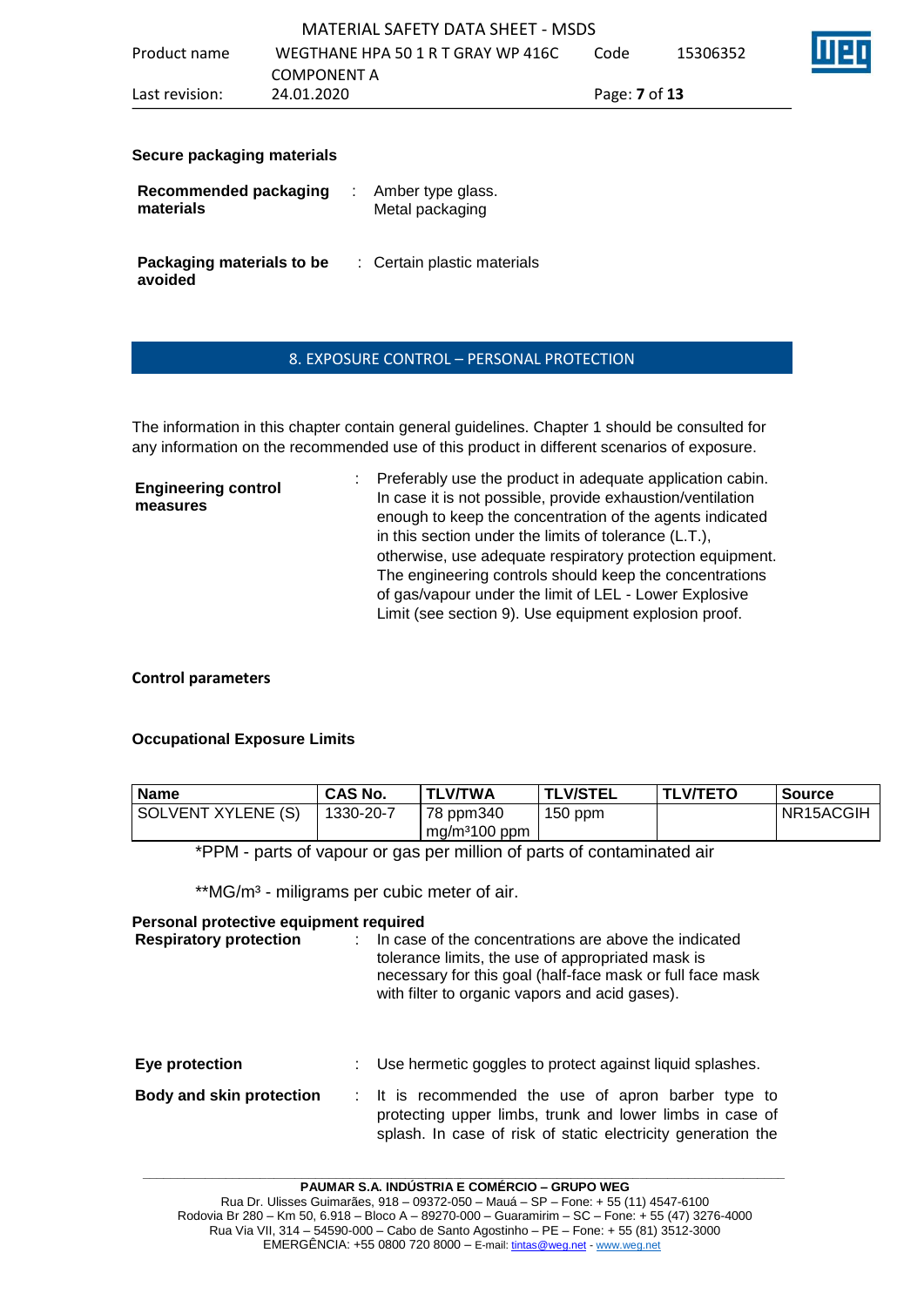| Last revision: | 24.01.2020                         | Page: <b>7</b> of <b>13</b> |          |   |
|----------------|------------------------------------|-----------------------------|----------|---|
|                | COMPONENT A                        |                             |          |   |
| Product name   | WEGTHANE HPA 50 1 R T GRAY WP 416C | Code                        | 15306352 | W |
|                | MATERIAL SAFETY DATA SHEET - MSDS  |                             |          |   |

#### **Secure packaging materials**

| Recommended packaging                | Amber type glass.           |
|--------------------------------------|-----------------------------|
| materials                            | Metal packaging             |
| Packaging materials to be<br>avoided | : Certain plastic materials |

### 8. EXPOSURE CONTROL – PERSONAL PROTECTION

The information in this chapter contain general guidelines. Chapter 1 should be consulted for any information on the recommended use of this product in different scenarios of exposure.

**Engineering control measures** : Preferably use the product in adequate application cabin. In case it is not possible, provide exhaustion/ventilation enough to keep the concentration of the agents indicated in this section under the limits of tolerance (L.T.), otherwise, use adequate respiratory protection equipment. The engineering controls should keep the concentrations of gas/vapour under the limit of LEL - Lower Explosive Limit (see section 9). Use equipment explosion proof.

### **Control parameters**

## **Occupational Exposure Limits**

| <b>Name</b>        | <b>CAS No.</b> | <b>TLV/TWA</b>            | <b>TLV/STEL</b> | <b>TLV/TETO</b> | <b>Source</b> |
|--------------------|----------------|---------------------------|-----------------|-----------------|---------------|
| SOLVENT XYLENE (S) | 1330-20-7      | 78 ppm340                 | $150$ ppm       |                 | NR15ACGIH     |
|                    |                | mg/m <sup>3</sup> 100 ppm |                 |                 |               |

\*PPM - parts of vapour or gas per million of parts of contaminated air

\*\*MG/m<sup>3</sup> - miligrams per cubic meter of air.

### **Personal protective equipment required**

| <b>Respiratory protection</b>   | In case of the concentrations are above the indicated<br>tolerance limits, the use of appropriated mask is<br>necessary for this goal (half-face mask or full face mask<br>with filter to organic vapors and acid gases). |
|---------------------------------|---------------------------------------------------------------------------------------------------------------------------------------------------------------------------------------------------------------------------|
| Eye protection                  | Use hermetic goggles to protect against liquid splashes.                                                                                                                                                                  |
| <b>Body and skin protection</b> | : It is recommended the use of apron barber type to<br>protecting upper limbs, trunk and lower limbs in case of<br>splash. In case of risk of static electricity generation the                                           |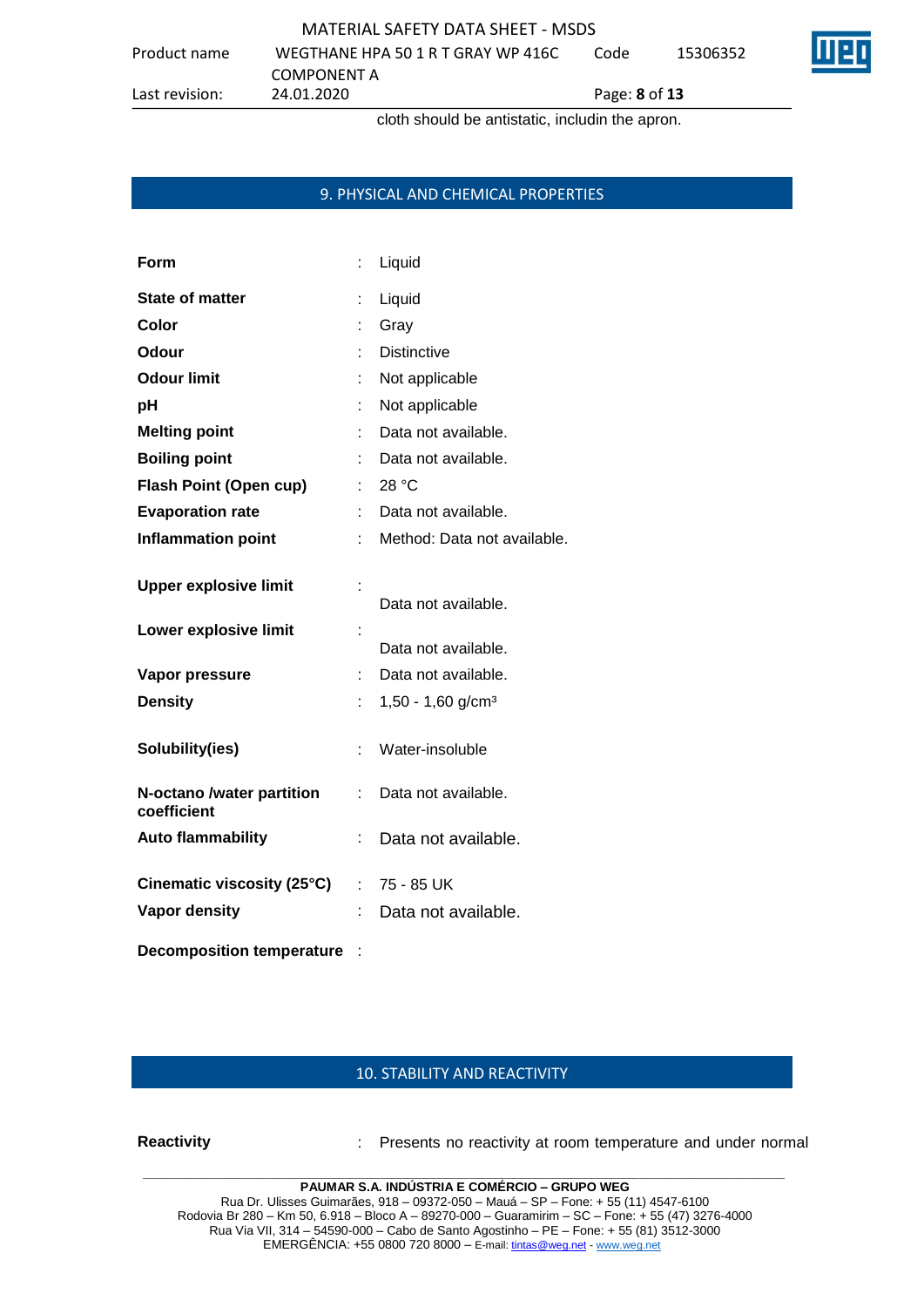Product name WEGTHANE HPA 50 1 R T GRAY WP 416C Code 15306352



**COMPONENT A**<br>24.01.2020

Last revision: 24.01.2020 Page: **8** of **13**

cloth should be antistatic, includin the apron.

## 9. PHYSICAL AND CHEMICAL PROPERTIES

| Form                                     |    | Liquid                          |
|------------------------------------------|----|---------------------------------|
| <b>State of matter</b>                   | t  | Liquid                          |
| Color                                    |    | Gray                            |
| Odour                                    |    | <b>Distinctive</b>              |
| <b>Odour limit</b>                       |    | Not applicable                  |
| рH                                       |    | Not applicable                  |
| <b>Melting point</b>                     |    | Data not available.             |
| <b>Boiling point</b>                     |    | Data not available.             |
| <b>Flash Point (Open cup)</b>            |    | 28 $^{\circ}$ C                 |
| <b>Evaporation rate</b>                  |    | Data not available.             |
| <b>Inflammation point</b>                |    | Method: Data not available.     |
| <b>Upper explosive limit</b>             |    | Data not available.             |
| Lower explosive limit                    |    | Data not available.             |
| Vapor pressure                           | t  | Data not available.             |
| <b>Density</b>                           |    | $1,50 - 1,60$ g/cm <sup>3</sup> |
| Solubility(ies)                          | t. | Water-insoluble                 |
| N-octano /water partition<br>coefficient | ÷. | Data not available.             |
| <b>Auto flammability</b>                 | t, | Data not available.             |
| Cinematic viscosity (25°C)               |    | $: 75 - 85$ UK                  |
| <b>Vapor density</b>                     |    | Data not available.             |
| <b>Decomposition temperature</b>         |    |                                 |

## 10. STABILITY AND REACTIVITY

**\_\_\_\_\_\_\_\_\_\_\_\_\_\_\_\_\_\_\_\_\_\_\_\_\_\_\_\_\_\_\_\_\_\_\_\_\_\_\_\_\_\_\_\_\_\_\_\_\_\_\_\_\_\_\_\_\_\_\_\_\_\_\_\_\_\_\_\_\_\_\_\_\_\_\_\_\_\_\_\_\_\_\_\_\_\_\_\_\_\_\_\_\_ Reactivity** : Presents no reactivity at room temperature and under normal

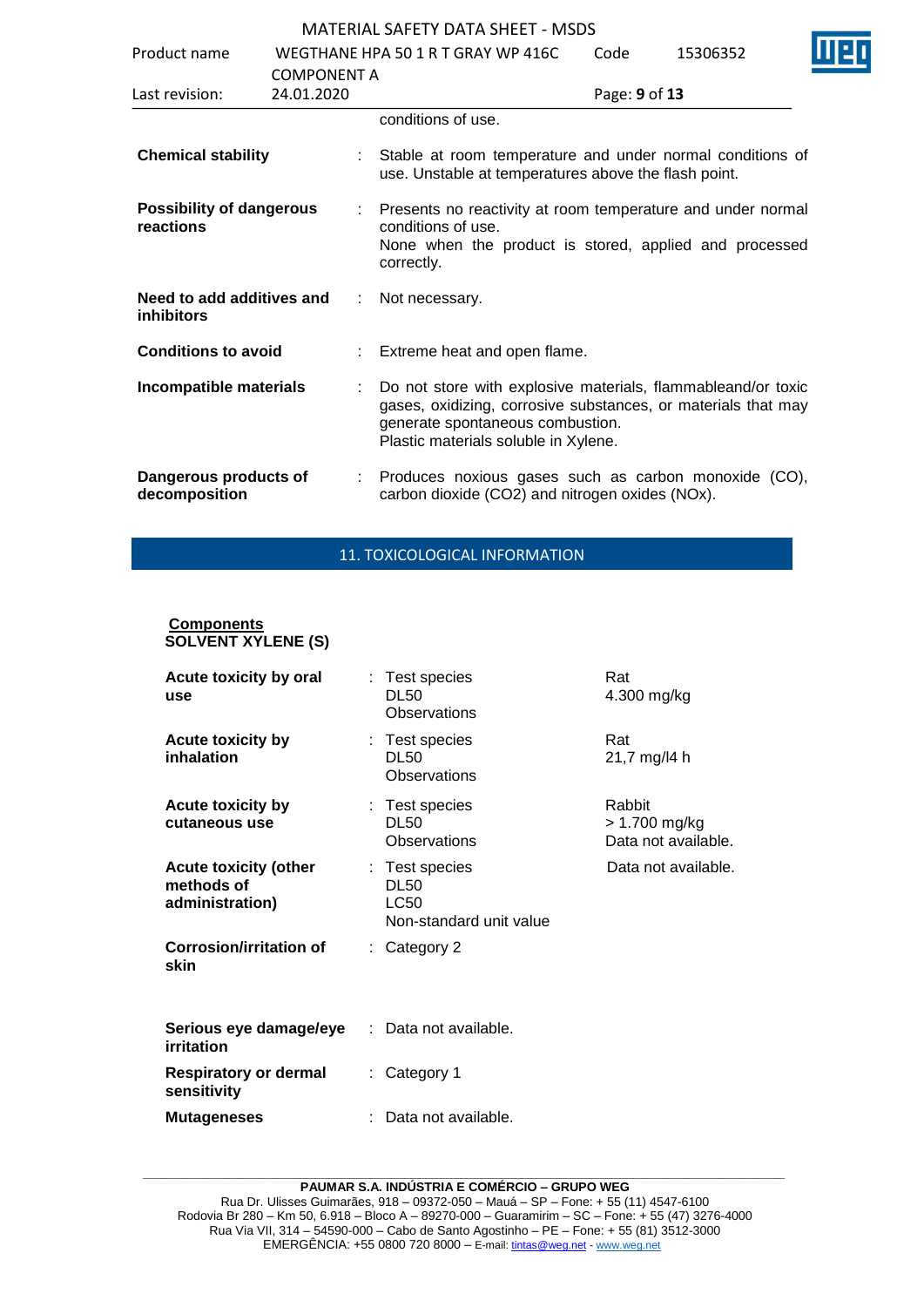| Product name                                   | WEGTHANE HPA 50 1 R T GRAY WP 416C<br><b>COMPONENT A</b> |   |                                                                                                                                                                                                           | Code          | 15306352 |  |
|------------------------------------------------|----------------------------------------------------------|---|-----------------------------------------------------------------------------------------------------------------------------------------------------------------------------------------------------------|---------------|----------|--|
| Last revision:                                 | 24.01.2020                                               |   |                                                                                                                                                                                                           | Page: 9 of 13 |          |  |
|                                                |                                                          |   | conditions of use.                                                                                                                                                                                        |               |          |  |
| <b>Chemical stability</b>                      |                                                          |   | Stable at room temperature and under normal conditions of<br>use. Unstable at temperatures above the flash point.                                                                                         |               |          |  |
| <b>Possibility of dangerous</b><br>reactions   |                                                          |   | Presents no reactivity at room temperature and under normal<br>conditions of use.<br>None when the product is stored, applied and processed<br>correctly.                                                 |               |          |  |
| Need to add additives and<br><b>inhibitors</b> |                                                          | ÷ | Not necessary.                                                                                                                                                                                            |               |          |  |
| <b>Conditions to avoid</b>                     |                                                          |   | Extreme heat and open flame.                                                                                                                                                                              |               |          |  |
| Incompatible materials                         |                                                          |   | Do not store with explosive materials, flammableand/or toxic<br>gases, oxidizing, corrosive substances, or materials that may<br>generate spontaneous combustion.<br>Plastic materials soluble in Xylene. |               |          |  |
| Dangerous products of<br>decomposition         |                                                          |   | Produces noxious gases such as carbon monoxide (CO),<br>carbon dioxide (CO2) and nitrogen oxides (NOx).                                                                                                   |               |          |  |

# 11. TOXICOLOGICAL INFORMATION

#### **Components SOLVENT XYLENE (S)**

| <b>Acute toxicity by oral</b><br>use                          | : Test species<br><b>DL50</b><br>Observations                           | Rat<br>4.300 mg/kg                             |
|---------------------------------------------------------------|-------------------------------------------------------------------------|------------------------------------------------|
| <b>Acute toxicity by</b><br>inhalation                        | : Test species<br>DL50<br>Observations                                  | Rat<br>21,7 mg/l4 h                            |
| <b>Acute toxicity by</b><br>cutaneous use                     | : Test species<br><b>DL50</b><br>Observations                           | Rabbit<br>> 1.700 mg/kg<br>Data not available. |
| <b>Acute toxicity (other</b><br>methods of<br>administration) | : Test species<br><b>DL50</b><br><b>LC50</b><br>Non-standard unit value | Data not available.                            |
| Corrosion/irritation of<br>skin                               | $:$ Category 2                                                          |                                                |
| Serious eye damage/eye<br>irritation                          | : Data not available.                                                   |                                                |
| Respiratory or dermal<br>sensitivity                          | $:$ Category 1                                                          |                                                |
| <b>Mutageneses</b>                                            | Data not available.                                                     |                                                |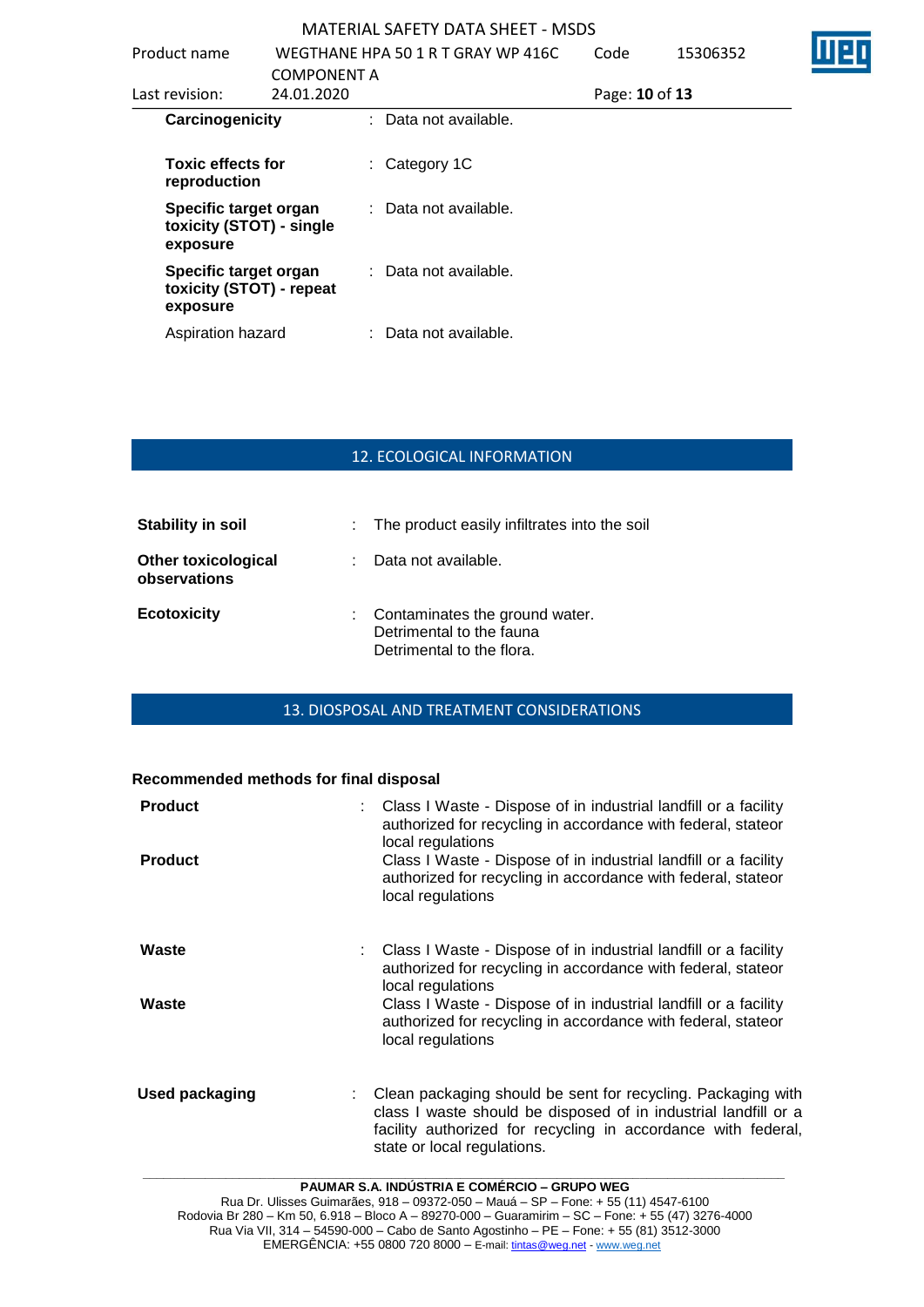| Product name                                                  |                                  | WEGTHANE HPA 50 1 R T GRAY WP 416C | Code           | 15306352 |  |
|---------------------------------------------------------------|----------------------------------|------------------------------------|----------------|----------|--|
| Last revision:                                                | <b>COMPONENT A</b><br>24.01.2020 |                                    | Page: 10 of 13 |          |  |
| Carcinogenicity                                               |                                  | : Data not available.              |                |          |  |
| <b>Toxic effects for</b><br>reproduction                      |                                  | $\therefore$ Category 1C           |                |          |  |
| Specific target organ<br>toxicity (STOT) - single<br>exposure |                                  | : Data not available.              |                |          |  |
| Specific target organ<br>toxicity (STOT) - repeat<br>exposure |                                  | : Data not available.              |                |          |  |
| Aspiration hazard                                             |                                  | : Data not available.              |                |          |  |

## 12. ECOLOGICAL INFORMATION

| <b>Stability in soil</b>                   | : The product easily infiltrates into the soil                                            |
|--------------------------------------------|-------------------------------------------------------------------------------------------|
| <b>Other toxicological</b><br>observations | : Data not available.                                                                     |
| <b>Ecotoxicity</b>                         | : Contaminates the ground water.<br>Detrimental to the fauna<br>Detrimental to the flora. |

## 13. DIOSPOSAL AND TREATMENT CONSIDERATIONS

#### **Recommended methods for final disposal**

| <b>Product</b><br><b>Product</b> | Class I Waste - Dispose of in industrial landfill or a facility<br>authorized for recycling in accordance with federal, stateor<br>local regulations<br>Class I Waste - Dispose of in industrial landfill or a facility<br>authorized for recycling in accordance with federal, stateor<br>local regulations   |
|----------------------------------|----------------------------------------------------------------------------------------------------------------------------------------------------------------------------------------------------------------------------------------------------------------------------------------------------------------|
| Waste<br>Waste                   | : Class I Waste - Dispose of in industrial landfill or a facility<br>authorized for recycling in accordance with federal, stateor<br>local regulations<br>Class I Waste - Dispose of in industrial landfill or a facility<br>authorized for recycling in accordance with federal, stateor<br>local regulations |
| Used packaging                   | Clean packaging should be sent for recycling. Packaging with<br>class I waste should be disposed of in industrial landfill or a<br>facility authorized for recycling in accordance with federal,<br>state or local regulations.                                                                                |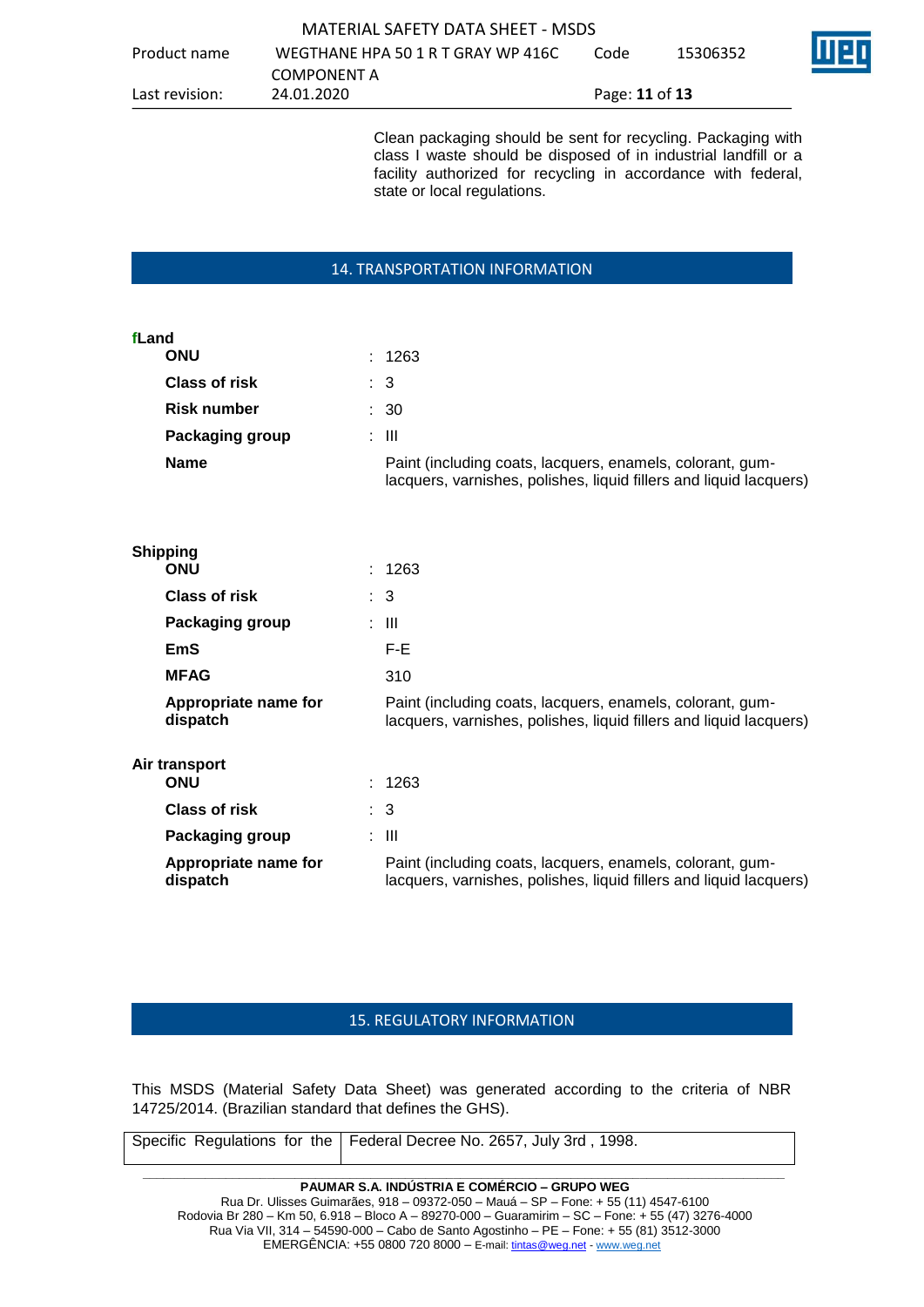|                | MATERIAL SAFETY DATA SHEFT - MSDS  |                       |          |         |
|----------------|------------------------------------|-----------------------|----------|---------|
| Product name   | WEGTHANE HPA 50 1 R T GRAY WP 416C | Code                  | 15306352 | l 112 r |
|                | COMPONENT A                        |                       |          |         |
| Last revision: | 24.01.2020                         | Page: <b>11 of 13</b> |          |         |

Clean packaging should be sent for recycling. Packaging with class I waste should be disposed of in industrial landfill or a facility authorized for recycling in accordance with federal, state or local regulations.

#### 14. TRANSPORTATION INFORMATION

#### **fLand**

| <b>ONU</b>           | : 1263                                                                                                                          |
|----------------------|---------------------------------------------------------------------------------------------------------------------------------|
| <b>Class of risk</b> | : 3                                                                                                                             |
| <b>Risk number</b>   | : 30                                                                                                                            |
| Packaging group      | : III                                                                                                                           |
| <b>Name</b>          | Paint (including coats, lacquers, enamels, colorant, gum-<br>lacquers, varnishes, polishes, liquid fillers and liquid lacquers) |

|               | <b>Shipping</b>                  |  |                                                                                                                                 |
|---------------|----------------------------------|--|---------------------------------------------------------------------------------------------------------------------------------|
|               | <b>ONU</b>                       |  | : 1263                                                                                                                          |
|               | <b>Class of risk</b>             |  | $\therefore$ 3                                                                                                                  |
|               | Packaging group                  |  | : III                                                                                                                           |
|               | <b>EmS</b>                       |  | F-E                                                                                                                             |
|               | <b>MFAG</b>                      |  | 310                                                                                                                             |
|               | Appropriate name for<br>dispatch |  | Paint (including coats, lacquers, enamels, colorant, gum-<br>lacquers, varnishes, polishes, liquid fillers and liquid lacquers) |
| Air transport |                                  |  |                                                                                                                                 |
|               | <b>ONU</b>                       |  | : 1263                                                                                                                          |
|               | <b>Class of risk</b>             |  | $\therefore$ 3                                                                                                                  |
|               | Packaging group                  |  | : III                                                                                                                           |
|               | Appropriate name for<br>dispatch |  | Paint (including coats, lacquers, enamels, colorant, gum-<br>lacquers, varnishes, polishes, liquid fillers and liquid lacquers) |

### 15. REGULATORY INFORMATION

This MSDS (Material Safety Data Sheet) was generated according to the criteria of NBR 14725/2014. (Brazilian standard that defines the GHS).

| Specific Regulations for the   Federal Decree No. 2657, July 3rd, 1998. |
|-------------------------------------------------------------------------|
|                                                                         |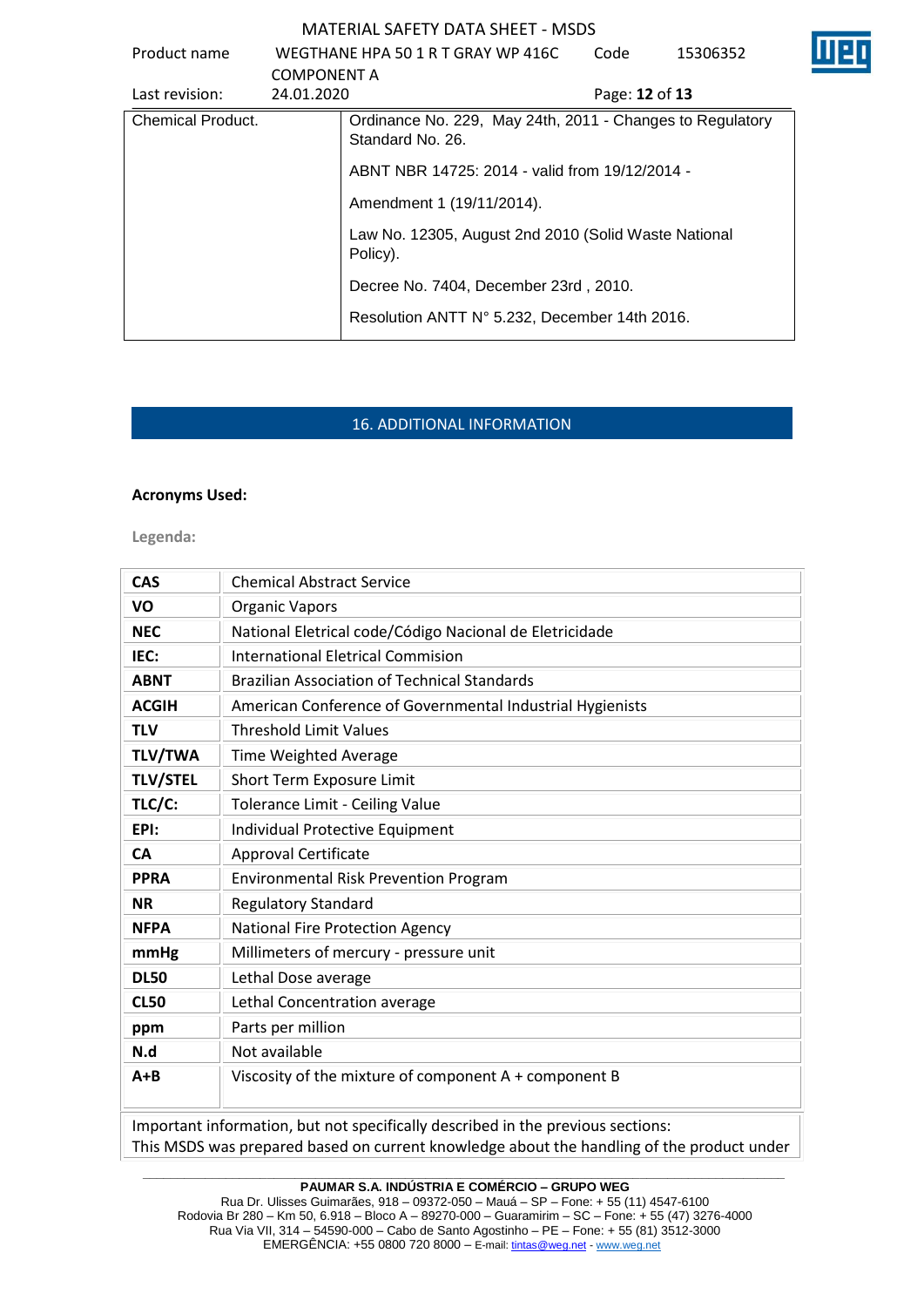| Product name             | <b>COMPONENT A</b> | WEGTHANE HPA 50 1 R T GRAY WP 416C                                            | Code           | 15306352 |  |
|--------------------------|--------------------|-------------------------------------------------------------------------------|----------------|----------|--|
| Last revision:           | 24.01.2020         |                                                                               | Page: 12 of 13 |          |  |
| <b>Chemical Product.</b> |                    | Ordinance No. 229, May 24th, 2011 - Changes to Regulatory<br>Standard No. 26. |                |          |  |
|                          |                    | ABNT NBR 14725: 2014 - valid from 19/12/2014 -                                |                |          |  |
|                          |                    | Amendment 1 (19/11/2014).                                                     |                |          |  |
|                          |                    | Law No. 12305, August 2nd 2010 (Solid Waste National<br>Policy).              |                |          |  |
|                          |                    | Decree No. 7404, December 23rd, 2010.                                         |                |          |  |
|                          |                    | Resolution ANTT N° 5.232, December 14th 2016.                                 |                |          |  |

# 16. ADDITIONAL INFORMATION

### **Acronyms Used:**

**Legenda:**

| <b>CAS</b>                                                                      | <b>Chemical Abstract Service</b>                          |  |  |  |  |
|---------------------------------------------------------------------------------|-----------------------------------------------------------|--|--|--|--|
| VO                                                                              | <b>Organic Vapors</b>                                     |  |  |  |  |
| <b>NEC</b>                                                                      | National Eletrical code/Código Nacional de Eletricidade   |  |  |  |  |
| IEC:                                                                            | <b>International Eletrical Commision</b>                  |  |  |  |  |
| <b>ABNT</b>                                                                     | <b>Brazilian Association of Technical Standards</b>       |  |  |  |  |
| <b>ACGIH</b>                                                                    | American Conference of Governmental Industrial Hygienists |  |  |  |  |
| <b>TLV</b>                                                                      | <b>Threshold Limit Values</b>                             |  |  |  |  |
| <b>TLV/TWA</b>                                                                  | Time Weighted Average                                     |  |  |  |  |
| <b>TLV/STEL</b>                                                                 | Short Term Exposure Limit                                 |  |  |  |  |
| TLC/C:                                                                          | Tolerance Limit - Ceiling Value                           |  |  |  |  |
| EPI:                                                                            | Individual Protective Equipment                           |  |  |  |  |
| <b>CA</b>                                                                       | Approval Certificate                                      |  |  |  |  |
| <b>PPRA</b>                                                                     | <b>Environmental Risk Prevention Program</b>              |  |  |  |  |
| <b>NR</b>                                                                       | <b>Regulatory Standard</b>                                |  |  |  |  |
| <b>NFPA</b>                                                                     | National Fire Protection Agency                           |  |  |  |  |
| mmHg                                                                            | Millimeters of mercury - pressure unit                    |  |  |  |  |
| <b>DL50</b>                                                                     | Lethal Dose average                                       |  |  |  |  |
| <b>CL50</b>                                                                     | Lethal Concentration average                              |  |  |  |  |
| ppm                                                                             | Parts per million                                         |  |  |  |  |
| N.d                                                                             | Not available                                             |  |  |  |  |
| $A + B$                                                                         | Viscosity of the mixture of component A + component B     |  |  |  |  |
| Important information, but not specifically described in the previous sections: |                                                           |  |  |  |  |

This MSDS was prepared based on current knowledge about the handling of the product under

**\_\_\_\_\_\_\_\_\_\_\_\_\_\_\_\_\_\_\_\_\_\_\_\_\_\_\_\_\_\_\_\_\_\_\_\_\_\_\_\_\_\_\_\_\_\_\_\_\_\_\_\_\_\_\_\_\_\_\_\_\_\_\_\_\_\_\_\_\_\_\_\_\_\_\_\_\_\_\_\_\_\_\_\_\_\_\_\_\_\_\_\_\_ PAUMAR S.A. INDÚSTRIA E COMÉRCIO – GRUPO WEG**